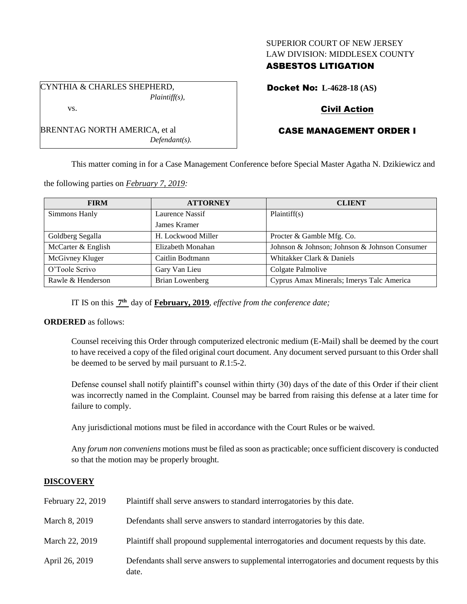## SUPERIOR COURT OF NEW JERSEY LAW DIVISION: MIDDLESEX COUNTY

# ASBESTOS LITIGATION

CYNTHIA & CHARLES SHEPHERD, *Plaintiff(s),*

BRENNTAG NORTH AMERICA, et al

vs.

Docket No: **L-4628-18 (AS)**

# Civil Action

# CASE MANAGEMENT ORDER I

This matter coming in for a Case Management Conference before Special Master Agatha N. Dzikiewicz and

the following parties on *February 7, 2019:*

| <b>FIRM</b>        | <b>ATTORNEY</b>    | <b>CLIENT</b>                                 |
|--------------------|--------------------|-----------------------------------------------|
| Simmons Hanly      | Laurence Nassif    | Plaintiff(s)                                  |
|                    | James Kramer       |                                               |
| Goldberg Segalla   | H. Lockwood Miller | Procter & Gamble Mfg. Co.                     |
| McCarter & English | Elizabeth Monahan  | Johnson & Johnson; Johnson & Johnson Consumer |
| McGivney Kluger    | Caitlin Bodtmann   | Whitakker Clark & Daniels                     |
| O'Toole Scrivo     | Gary Van Lieu      | Colgate Palmolive                             |
| Rawle & Henderson  | Brian Lowenberg    | Cyprus Amax Minerals; Imerys Talc America     |

IT IS on this **7 th** day of **February, 2019**, *effective from the conference date;*

*Defendant(s).*

#### **ORDERED** as follows:

Counsel receiving this Order through computerized electronic medium (E-Mail) shall be deemed by the court to have received a copy of the filed original court document. Any document served pursuant to this Order shall be deemed to be served by mail pursuant to *R*.1:5-2.

Defense counsel shall notify plaintiff's counsel within thirty (30) days of the date of this Order if their client was incorrectly named in the Complaint. Counsel may be barred from raising this defense at a later time for failure to comply.

Any jurisdictional motions must be filed in accordance with the Court Rules or be waived.

Any *forum non conveniens* motions must be filed as soon as practicable; once sufficient discovery is conducted so that the motion may be properly brought.

## **DISCOVERY**

| February 22, 2019 | Plaintiff shall serve answers to standard interrogatories by this date.                               |
|-------------------|-------------------------------------------------------------------------------------------------------|
| March 8, 2019     | Defendants shall serve answers to standard interrogatories by this date.                              |
| March 22, 2019    | Plaintiff shall propound supplemental interrogatories and document requests by this date.             |
| April 26, 2019    | Defendants shall serve answers to supplemental interrogatories and document requests by this<br>date. |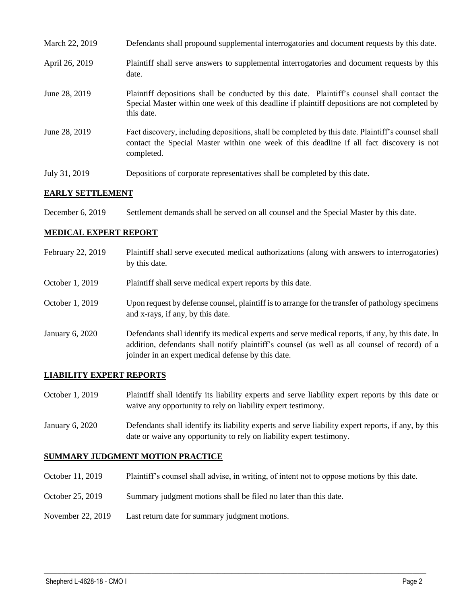| March 22, 2019 | Defendants shall propound supplemental interrogatories and document requests by this date.                                                                                                                  |
|----------------|-------------------------------------------------------------------------------------------------------------------------------------------------------------------------------------------------------------|
| April 26, 2019 | Plaintiff shall serve answers to supplemental interrogatories and document requests by this<br>date.                                                                                                        |
| June 28, 2019  | Plaintiff depositions shall be conducted by this date. Plaintiff's counsel shall contact the<br>Special Master within one week of this deadline if plaintiff depositions are not completed by<br>this date. |
| June 28, 2019  | Fact discovery, including depositions, shall be completed by this date. Plaintiff's counsel shall<br>contact the Special Master within one week of this deadline if all fact discovery is not<br>completed. |
| July 31, 2019  | Depositions of corporate representatives shall be completed by this date.                                                                                                                                   |

#### **EARLY SETTLEMENT**

December 6, 2019 Settlement demands shall be served on all counsel and the Special Master by this date.

## **MEDICAL EXPERT REPORT**

| February 22, 2019 | Plaintiff shall serve executed medical authorizations (along with answers to interrogatories)<br>by this date.                                                                                                                                           |
|-------------------|----------------------------------------------------------------------------------------------------------------------------------------------------------------------------------------------------------------------------------------------------------|
| October 1, 2019   | Plaintiff shall serve medical expert reports by this date.                                                                                                                                                                                               |
| October 1, 2019   | Upon request by defense counsel, plaintiff is to arrange for the transfer of pathology specimens<br>and x-rays, if any, by this date.                                                                                                                    |
| January 6, 2020   | Defendants shall identify its medical experts and serve medical reports, if any, by this date. In<br>addition, defendants shall notify plaintiff's counsel (as well as all counsel of record) of a<br>joinder in an expert medical defense by this date. |

# **LIABILITY EXPERT REPORTS**

| October 1, 2019 | Plaintiff shall identify its liability experts and serve liability expert reports by this date or |
|-----------------|---------------------------------------------------------------------------------------------------|
|                 | waive any opportunity to rely on liability expert testimony.                                      |

January 6, 2020 Defendants shall identify its liability experts and serve liability expert reports, if any, by this date or waive any opportunity to rely on liability expert testimony.

## **SUMMARY JUDGMENT MOTION PRACTICE**

October 11, 2019 Plaintiff's counsel shall advise, in writing, of intent not to oppose motions by this date.

 $\_$  ,  $\_$  ,  $\_$  ,  $\_$  ,  $\_$  ,  $\_$  ,  $\_$  ,  $\_$  ,  $\_$  ,  $\_$  ,  $\_$  ,  $\_$  ,  $\_$  ,  $\_$  ,  $\_$  ,  $\_$  ,  $\_$  ,  $\_$  ,  $\_$  ,  $\_$  ,  $\_$  ,  $\_$  ,  $\_$  ,  $\_$  ,  $\_$  ,  $\_$  ,  $\_$  ,  $\_$  ,  $\_$  ,  $\_$  ,  $\_$  ,  $\_$  ,  $\_$  ,  $\_$  ,  $\_$  ,  $\_$  ,  $\_$  ,

- October 25, 2019 Summary judgment motions shall be filed no later than this date.
- November 22, 2019 Last return date for summary judgment motions.